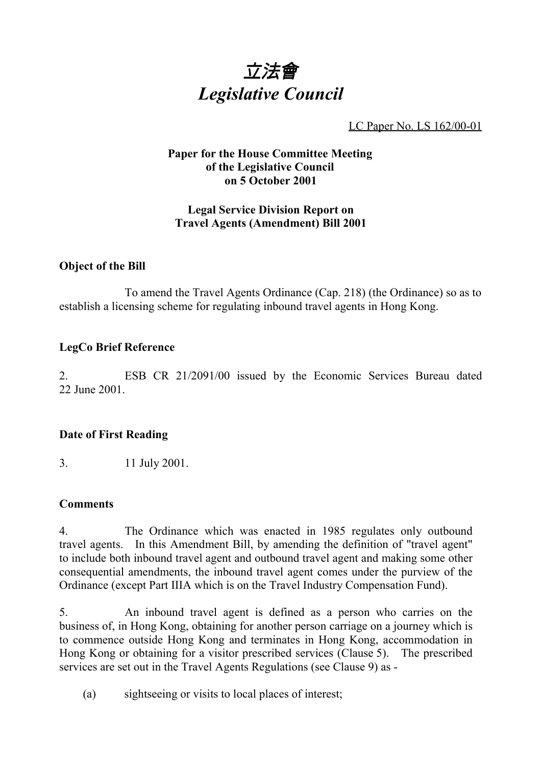

LC Paper No. LS 162/00-01

# **Paper for the House Committee Meeting of the Legislative Council on 5 October 2001**

# **Legal Service Division Report on Travel Agents (Amendment) Bill 2001**

#### **Object of the Bill**

To amend the Travel Agents Ordinance (Cap. 218) (the Ordinance) so as to establish a licensing scheme for regulating inbound travel agents in Hong Kong.

# **LegCo Brief Reference**

2. ESB CR 21/2091/00 issued by the Economic Services Bureau dated 22 June 2001.

# **Date of First Reading**

3. 11 July 2001.

# **Comments**

4. The Ordinance which was enacted in 1985 regulates only outbound travel agents. In this Amendment Bill, by amending the definition of "travel agent" to include both inbound travel agent and outbound travel agent and making some other consequential amendments, the inbound travel agent comes under the purview of the Ordinance (except Part IIIA which is on the Travel Industry Compensation Fund).

5. An inbound travel agent is defined as a person who carries on the business of, in Hong Kong, obtaining for another person carriage on a journey which is to commence outside Hong Kong and terminates in Hong Kong, accommodation in Hong Kong or obtaining for a visitor prescribed services (Clause 5). The prescribed services are set out in the Travel Agents Regulations (see Clause 9) as -

(a) sightseeing or visits to local places of interest;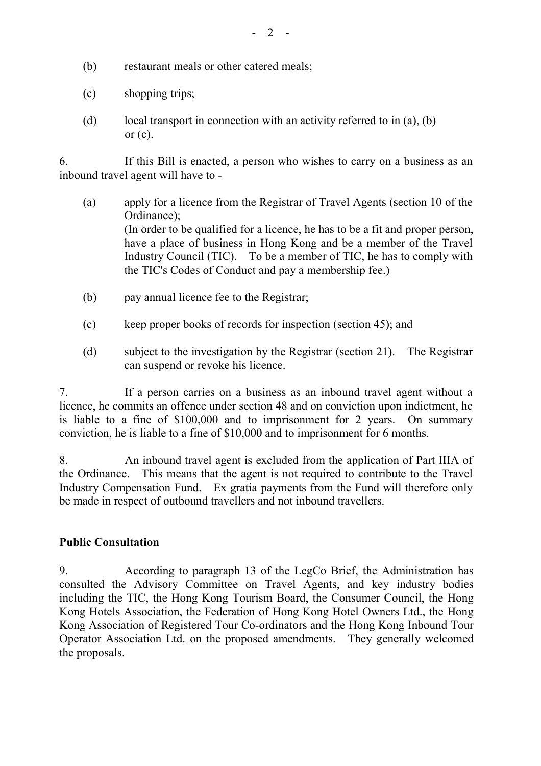- (b) restaurant meals or other catered meals;
- (c) shopping trips;
- (d) local transport in connection with an activity referred to in (a), (b) or  $(c)$ .

6. If this Bill is enacted, a person who wishes to carry on a business as an inbound travel agent will have to -

- (a) apply for a licence from the Registrar of Travel Agents (section 10 of the Ordinance); (In order to be qualified for a licence, he has to be a fit and proper person, have a place of business in Hong Kong and be a member of the Travel Industry Council (TIC). To be a member of TIC, he has to comply with the TIC's Codes of Conduct and pay a membership fee.)
- (b) pay annual licence fee to the Registrar;
- (c) keep proper books of records for inspection (section 45); and
- (d) subject to the investigation by the Registrar (section 21). The Registrar can suspend or revoke his licence.

7. If a person carries on a business as an inbound travel agent without a licence, he commits an offence under section 48 and on conviction upon indictment, he is liable to a fine of \$100,000 and to imprisonment for 2 years. On summary conviction, he is liable to a fine of \$10,000 and to imprisonment for 6 months.

8. An inbound travel agent is excluded from the application of Part IIIA of the Ordinance. This means that the agent is not required to contribute to the Travel Industry Compensation Fund. Ex gratia payments from the Fund will therefore only be made in respect of outbound travellers and not inbound travellers.

# **Public Consultation**

9. According to paragraph 13 of the LegCo Brief, the Administration has consulted the Advisory Committee on Travel Agents, and key industry bodies including the TIC, the Hong Kong Tourism Board, the Consumer Council, the Hong Kong Hotels Association, the Federation of Hong Kong Hotel Owners Ltd., the Hong Kong Association of Registered Tour Co-ordinators and the Hong Kong Inbound Tour Operator Association Ltd. on the proposed amendments. They generally welcomed the proposals.